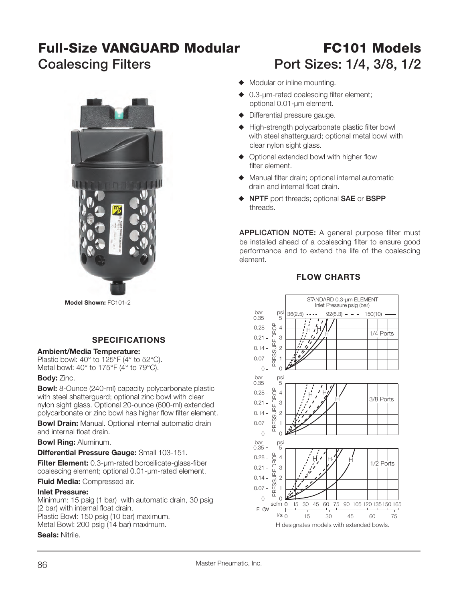# **Full-Size VANGUARD Modular**

## **FC101 ModelsCoalescing Filters Port Sizes: 1/4, 3/8, 1/2**



**Model Shown:** FC101-2

### **SPECIFICATIONS**

#### **Ambient/Media Temperature:**

Plastic bowl: 40° to 125°F (4° to 52°C). Metal bowl: 40° to 175°F (4° to 79°C).

#### **Body:** Zinc.

**Bowl:** 8-Ounce (240-ml) capacity polycarbonate plastic with steel shatterguard; optional zinc bowl with clear nylon sight glass. Optional 20-ounce (600-ml) extended polycarbonate or zinc bowl has higher flow filter element.

**Bowl Drain:** Manual. Optional internal automatic drain and internal float drain.

**Bowl Ring:** Aluminum.

#### **Differential Pressure Gauge:** Small 103-151.

Filter Element: 0.3-µm-rated borosilicate-glass-fiber coalescing element; optional 0.01-µm-rated element.

**Fluid Media:** Compressed air.

#### **Inlet Pressure:**

Minimum: 15 psig (1 bar) with automatic drain, 30 psig (2 bar) with internal float drain. Plastic Bowl: 150 psig (10 bar) maximum.

Metal Bowl: 200 psig (14 bar) maximum.

#### **Seals:** Nitrile.



- $\triangle$  0.3-µm-rated coalescing filter element; optional 0.01-µm element.
- $\blacklozenge$  Differential pressure gauge.
- $\blacklozenge$  High-strength polycarbonate plastic filter bowl with steel shatterguard; optional metal bowl with clear nylon sight glass.
- $\blacklozenge$  Optional extended bowl with higher flow filter element.
- $\blacklozenge$  Manual filter drain; optional internal automatic drain and internal float drain.
- ◆ **NPTF** port threads; optional **SAE** or **BSPP** threads.

**APPLICATION NOTE:** A general purpose filter must be installed ahead of a coalescing filter to ensure good performance and to extend the life of the coalescing element.

#### **FLOW CHARTS**